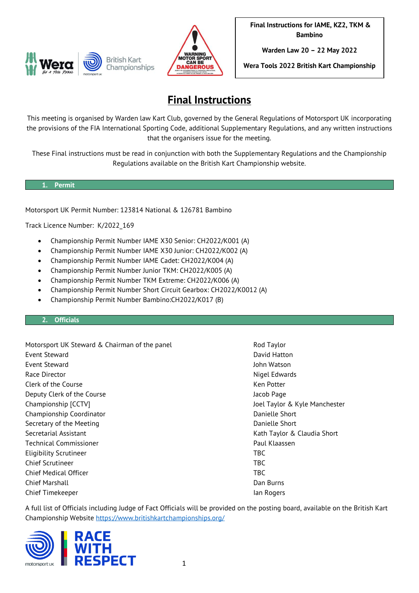



**Warden Law 20 – 22 May 2022**

**Wera Tools 2022 British Kart Championship**

# **Final Instructions**

This meeting is organised by Warden law Kart Club, governed by the General Regulations of Motorsport UK incorporating the provisions of the FIA International Sporting Code, additional Supplementary Regulations, and any written instructions that the organisers issue for the meeting.

These Final instructions must be read in conjunction with both the Supplementary Regulations and the Championship Regulations available on the British Kart Championship website.

#### **1. Permit**

Motorsport UK Permit Number: 123814 National & 126781 Bambino

Track Licence Number: K/2022\_169

- Championship Permit Number IAME X30 Senior: CH2022/K001 (A)
- Championship Permit Number IAME X30 Junior: CH2022/K002 (A)
- Championship Permit Number IAME Cadet: CH2022/K004 (A)
- Championship Permit Number Junior TKM: CH2022/K005 (A)
- Championship Permit Number TKM Extreme: CH2022/K006 (A)
- Championship Permit Number Short Circuit Gearbox: CH2022/K0012 (A)
- Championship Permit Number Bambino:CH2022/K017 (B)

#### **2. Officials**

Motorsport UK Steward & Chairman of the panel and Rod Taylor Event Steward **David Hatton** David Hatton Event Steward John Watson Race Director **Nigel Edwards Nigel Edwards** Clerk of the Course **Ken Potter** Ken Potter Ken Potter Deputy Clerk of the Course Jacob Page Jacob Page Championship [CCTV] Championship [CCTV] Championship Coordinator **Danielle Short** Danielle Short Secretary of the Meeting Danielle Short Controller Short Danielle Short Danielle Short Secretarial Assistant **Kath Taylor & Claudia Short** Kath Taylor & Claudia Short Technical Commissioner **Paul American** Commissioner Paul Klaassen Eligibility Scrutineer TBC Chief Scrutineer TBC Chief Medical Officer TBC Chief Marshall Dan Burns Chief Timekeeper **Ian Rogers** Ian Rogers **Ian Rogers** 

A full list of Officials including Judge of Fact Officials will be provided on the posting board, available on the British Kart Championship Website<https://www.britishkartchampionships.org/>

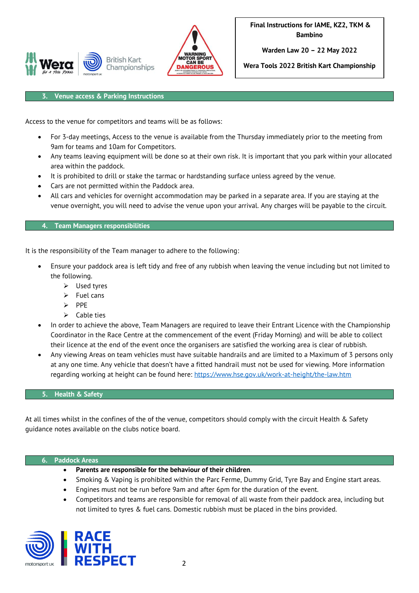



**Warden Law 20 – 22 May 2022**

**Wera Tools 2022 British Kart Championship**

#### **3. Venue access & Parking Instructions**

Access to the venue for competitors and teams will be as follows:

- For 3-day meetings, Access to the venue is available from the Thursday immediately prior to the meeting from 9am for teams and 10am for Competitors.
- Any teams leaving equipment will be done so at their own risk. It is important that you park within your allocated area within the paddock.
- It is prohibited to drill or stake the tarmac or hardstanding surface unless agreed by the venue.
- Cars are not permitted within the Paddock area.
- All cars and vehicles for overnight accommodation may be parked in a separate area. If you are staying at the venue overnight, you will need to advise the venue upon your arrival. Any charges will be payable to the circuit.

#### **4. Team Managers responsibilities**

It is the responsibility of the Team manager to adhere to the following:

- Ensure your paddock area is left tidy and free of any rubbish when leaving the venue including but not limited to the following.
	- ➢ Used tyres
	- $\triangleright$  Fuel cans
	- ➢ PPE
	- $\triangleright$  Cable ties
- In order to achieve the above, Team Managers are required to leave their Entrant Licence with the Championship Coordinator in the Race Centre at the commencement of the event (Friday Morning) and will be able to collect their licence at the end of the event once the organisers are satisfied the working area is clear of rubbish.
- Any viewing Areas on team vehicles must have suitable handrails and are limited to a Maximum of 3 persons only at any one time. Any vehicle that doesn't have a fitted handrail must not be used for viewing. More information regarding working at height can be found here:<https://www.hse.gov.uk/work-at-height/the-law.htm>

#### **5. Health & Safety**

At all times whilst in the confines of the of the venue, competitors should comply with the circuit Health & Safety guidance notes available on the clubs notice board.

#### **6. Paddock Areas**

- **Parents are responsible for the behaviour of their children**.
- Smoking & Vaping is prohibited within the Parc Ferme, Dummy Grid, Tyre Bay and Engine start areas.
- Engines must not be run before 9am and after 6pm for the duration of the event.
- Competitors and teams are responsible for removal of all waste from their paddock area, including but not limited to tyres & fuel cans. Domestic rubbish must be placed in the bins provided.

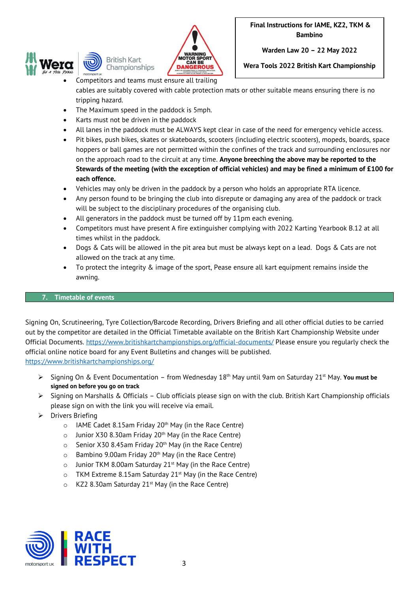



**Warden Law 20 – 22 May 2022**

**Wera Tools 2022 British Kart Championship**

- Competitors and teams must ensure all trailing cables are suitably covered with cable protection mats or other suitable means ensuring there is no tripping hazard.
- The Maximum speed in the paddock is 5mph.
- Karts must not be driven in the paddock
- All lanes in the paddock must be ALWAYS kept clear in case of the need for emergency vehicle access.
- Pit bikes, push bikes, skates or skateboards, scooters (including electric scooters), mopeds, boards, space hoppers or ball games are not permitted within the confines of the track and surrounding enclosures nor on the approach road to the circuit at any time. **Anyone breeching the above may be reported to the Stewards of the meeting (with the exception of official vehicles) and may be fined a minimum of £100 for each offence.**
- Vehicles may only be driven in the paddock by a person who holds an appropriate RTA licence.
- Any person found to be bringing the club into disrepute or damaging any area of the paddock or track will be subject to the disciplinary procedures of the organising club.
- All generators in the paddock must be turned off by 11pm each evening.
- Competitors must have present A fire extinguisher complying with 2022 Karting Yearbook B.12 at all times whilst in the paddock.
- Dogs & Cats will be allowed in the pit area but must be always kept on a lead. Dogs & Cats are not allowed on the track at any time.
- To protect the integrity & image of the sport, Pease ensure all kart equipment remains inside the awning.

## **7. Timetable of events**

Signing On, Scrutineering, Tyre Collection/Barcode Recording, Drivers Briefing and all other official duties to be carried out by the competitor are detailed in the Official Timetable available on the British Kart Championship Website under Official Documents.<https://www.britishkartchampionships.org/official-documents/> Please ensure you regularly check the official online notice board for any Event Bulletins and changes will be published. <https://www.britishkartchampionships.org/>

- ➢ Signing On & Event Documentation from Wednesday 18th May until 9am on Saturday 21st May. **You must be signed on before you go on track**
- ➢ Signing on Marshalls & Officials Club officials please sign on with the club. British Kart Championship officials please sign on with the link you will receive via email.
- ➢ Drivers Briefing
	- $\circ$  IAME Cadet 8.15am Friday 20<sup>th</sup> May (in the Race Centre)
	- $\circ$  Junior X30 8.30am Friday 20<sup>th</sup> May (in the Race Centre)
	- $\circ$  Senior X30 8.45am Friday 20<sup>th</sup> May (in the Race Centre)
	- $\circ$  Bambino 9.00am Friday 20<sup>th</sup> May (in the Race Centre)
	- $\circ$  Junior TKM 8.00am Saturday 21<sup>st</sup> May (in the Race Centre)
	- $\circ$  TKM Extreme 8.15am Saturday 21<sup>st</sup> May (in the Race Centre)
	- $\circ$  KZ2 8.30am Saturday 21<sup>st</sup> May (in the Race Centre)

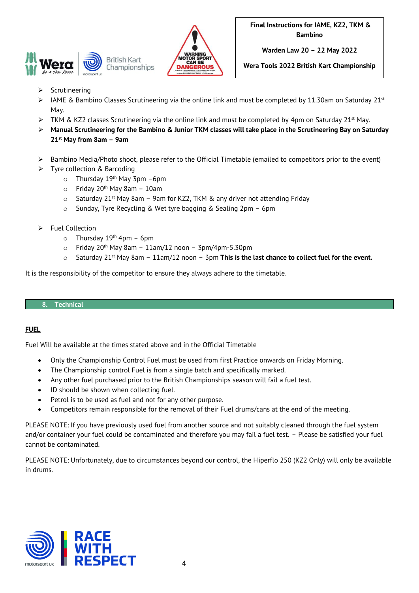



**Warden Law 20 – 22 May 2022**

**Wera Tools 2022 British Kart Championship**

- **Scrutineering**
- ➢ IAME & Bambino Classes Scrutineering via the online link and must be completed by 11.30am on Saturday 21st May.
- $\triangleright$  TKM & KZ2 classes Scrutineering via the online link and must be completed by 4pm on Saturday 21st May.
- ➢ **Manual Scrutineering for the Bambino & Junior TKM classes will take place in the Scrutineering Bay on Saturday 21 st May from 8am – 9am**
- ➢ Bambino Media/Photo shoot, please refer to the Official Timetable (emailed to competitors prior to the event)
- ➢ Tyre collection & Barcoding
	- o Thursday 19th May 3pm –6pm
	- $\circ$  Friday 20<sup>th</sup> May 8am 10am
	- $\circ$  Saturday 21<sup>st</sup> May 8am 9am for KZ2, TKM & any driver not attending Friday
	- o Sunday, Tyre Recycling & Wet tyre bagging & Sealing 2pm 6pm
- ➢ Fuel Collection
	- $\circ$  Thursday 19<sup>th</sup> 4pm 6pm
	- $\circ$  Friday 20<sup>th</sup> May 8am 11am/12 noon 3pm/4pm-5.30pm
	- o Saturday 21st May 8am 11am/12 noon 3pm **This is the last chance to collect fuel for the event.**

It is the responsibility of the competitor to ensure they always adhere to the timetable.

#### **8. Technical**

#### **FUEL**

Fuel Will be available at the times stated above and in the Official Timetable

- Only the Championship Control Fuel must be used from first Practice onwards on Friday Morning.
- The Championship control Fuel is from a single batch and specifically marked.
- Any other fuel purchased prior to the British Championships season will fail a fuel test.
- ID should be shown when collecting fuel.
- Petrol is to be used as fuel and not for any other purpose.
- Competitors remain responsible for the removal of their Fuel drums/cans at the end of the meeting.

PLEASE NOTE: If you have previously used fuel from another source and not suitably cleaned through the fuel system and/or container your fuel could be contaminated and therefore you may fail a fuel test. – Please be satisfied your fuel cannot be contaminated.

PLEASE NOTE: Unfortunately, due to circumstances beyond our control, the Hiperflo 250 (KZ2 Only) will only be available in drums.

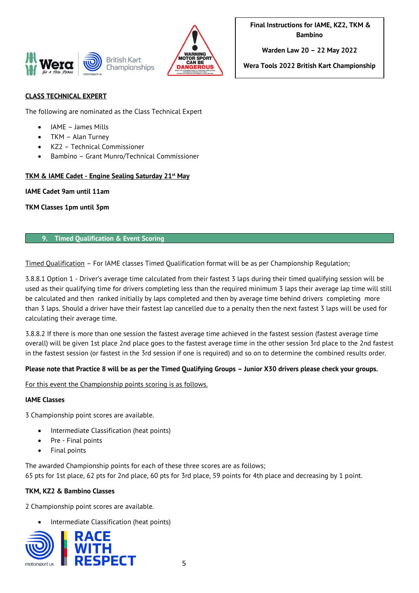



**Warden Law 20 – 22 May 2022**

**Wera Tools 2022 British Kart Championship**

# **CLASS TECHNICAL EXPERT**

The following are nominated as the Class Technical Expert

- IAME James Mills
- TKM Alan Turney
- KZ2 Technical Commissioner
- Bambino Grant Munro/Technical Commissioner

## **TKM & IAME Cadet - Engine Sealing Saturday 21st May**

#### **IAME Cadet 9am until 11am**

**TKM Classes 1pm until 3pm**

## **9. Timed Qualification & Event Scoring**

Timed Qualification – For IAME classes Timed Qualification format will be as per Championship Regulation;

3.8.8.1 Option 1 - Driver's average time calculated from their fastest 3 laps during their timed qualifying session will be used as their qualifying time for drivers completing less than the required minimum 3 laps their average lap time will still be calculated and then ranked initially by laps completed and then by average time behind drivers completing more than 3 laps. Should a driver have their fastest lap cancelled due to a penalty then the next fastest 3 laps will be used for calculating their average time.

3.8.8.2 If there is more than one session the fastest average time achieved in the fastest session (fastest average time overall) will be given 1st place 2nd place goes to the fastest average time in the other session 3rd place to the 2nd fastest in the fastest session (or fastest in the 3rd session if one is required) and so on to determine the combined results order.

# **Please note that Practice 8 will be as per the Timed Qualifying Groups – Junior X30 drivers please check your groups.**

For this event the Championship points scoring is as follows.

#### **IAME Classes**

3 Championship point scores are available.

- Intermediate Classification (heat points)
- Pre Final points
- Final points

The awarded Championship points for each of these three scores are as follows; 65 pts for 1st place, 62 pts for 2nd place, 60 pts for 3rd place, 59 points for 4th place and decreasing by 1 point.

# **TKM, KZ2 & Bambino Classes**

2 Championship point scores are available.

• Intermediate Classification (heat points)

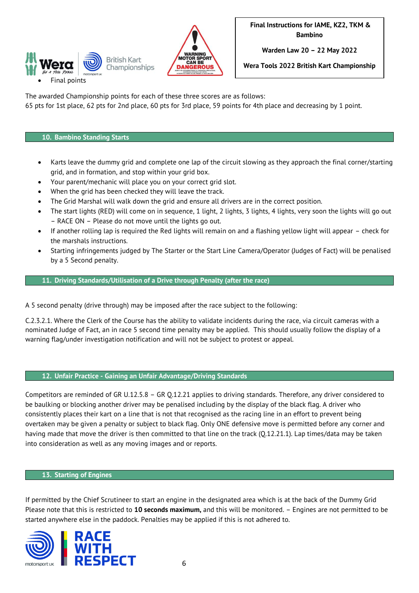



**Warden Law 20 – 22 May 2022**

**Wera Tools 2022 British Kart Championship**

The awarded Championship points for each of these three scores are as follows:

65 pts for 1st place, 62 pts for 2nd place, 60 pts for 3rd place, 59 points for 4th place and decreasing by 1 point.

## **10. Bambino Standing Starts**

- Karts leave the dummy grid and complete one lap of the circuit slowing as they approach the final corner/starting grid, and in formation, and stop within your grid box.
- Your parent/mechanic will place you on your correct grid slot.
- When the grid has been checked they will leave the track.
- The Grid Marshal will walk down the grid and ensure all drivers are in the correct position.
- The start lights (RED) will come on in sequence, 1 light, 2 lights, 3 lights, 4 lights, very soon the lights will go out – RACE ON – Please do not move until the lights go out.
- If another rolling lap is required the Red lights will remain on and a flashing yellow light will appear check for the marshals instructions.
- Starting infringements judged by The Starter or the Start Line Camera/Operator (Judges of Fact) will be penalised by a 5 Second penalty.

# **11. Driving Standards/Utilisation of a Drive through Penalty (after the race)**

A 5 second penalty (drive through) may be imposed after the race subject to the following:

C.2.3.2.1. Where the Clerk of the Course has the ability to validate incidents during the race, via circuit cameras with a nominated Judge of Fact, an in race 5 second time penalty may be applied. This should usually follow the display of a warning flag/under investigation notification and will not be subject to protest or appeal.

**12. Unfair Practice - Gaining an Unfair Advantage/Driving Standards**

Competitors are reminded of GR U.12.5.8 – GR Q.12.21 applies to driving standards. Therefore, any driver considered to be baulking or blocking another driver may be penalised including by the display of the black flag. A driver who consistently places their kart on a line that is not that recognised as the racing line in an effort to prevent being overtaken may be given a penalty or subject to black flag. Only ONE defensive move is permitted before any corner and having made that move the driver is then committed to that line on the track (Q.12.21.1). Lap times/data may be taken into consideration as well as any moving images and or reports.

#### **13. Starting of Engines**

If permitted by the Chief Scrutineer to start an engine in the designated area which is at the back of the Dummy Grid Please note that this is restricted to **10 seconds maximum,** and this will be monitored. – Engines are not permitted to be started anywhere else in the paddock. Penalties may be applied if this is not adhered to.

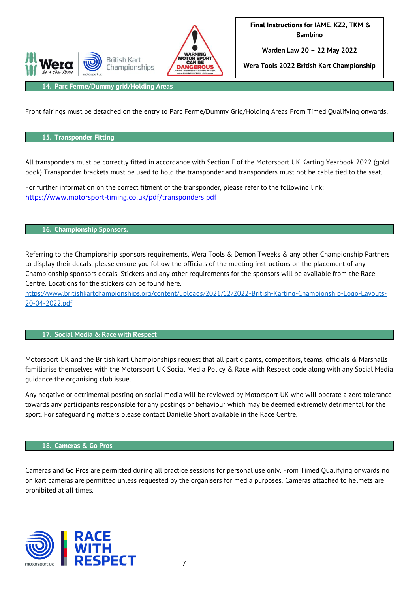

**Warden Law 20 – 22 May 2022**

**Wera Tools 2022 British Kart Championship**

**14. Parc Ferme/Dummy grid/Holding Areas**

**Rritish Kart** 

Championships

Front fairings must be detached on the entry to Parc Ferme/Dummy Grid/Holding Areas From Timed Qualifying onwards.

# **15. Transponder Fitting**

All transponders must be correctly fitted in accordance with Section F of the Motorsport UK Karting Yearbook 2022 (gold book) Transponder brackets must be used to hold the transponder and transponders must not be cable tied to the seat.

For further information on the correct fitment of the transponder, please refer to the following link: [https://www.motorsport-timing.co.uk/pdf/transponders.pdf](https://eur02.safelinks.protection.outlook.com/?url=https%3A%2F%2Fwww.motorsport-timing.co.uk%2Fpdf%2Ftransponders.pdf&data=02%7C01%7CDanielle.Short%40motorsportuk.org%7Cf824c2c6ec81463934b208d83c79a4ed%7C63a2da0237564d81baedec1930321ea4%7C0%7C0%7C637325840448998301&sdata=t%2FIG9JROWeWLxc2BhD0fFm00ya8lB2X1hEV1Xvm9d%2FU%3D&reserved=0)

#### **16. Championship Sponsors.**

Referring to the Championship sponsors requirements, Wera Tools & Demon Tweeks & any other Championship Partners to display their decals, please ensure you follow the officials of the meeting instructions on the placement of any Championship sponsors decals. Stickers and any other requirements for the sponsors will be available from the Race Centre. Locations for the stickers can be found here.

[https://www.britishkartchampionships.org/content/uploads/2021/12/2022-British-Karting-Championship-Logo-Layouts-](https://www.britishkartchampionships.org/content/uploads/2021/12/2022-British-Karting-Championship-Logo-Layouts-20-04-2022.pdf)[20-04-2022.pdf](https://www.britishkartchampionships.org/content/uploads/2021/12/2022-British-Karting-Championship-Logo-Layouts-20-04-2022.pdf)

#### **17. Social Media & Race with Respect**

Motorsport UK and the British kart Championships request that all participants, competitors, teams, officials & Marshalls familiarise themselves with the Motorsport UK Social Media Policy & Race with Respect code along with any Social Media guidance the organising club issue.

Any negative or detrimental posting on social media will be reviewed by Motorsport UK who will operate a zero tolerance towards any participants responsible for any postings or behaviour which may be deemed extremely detrimental for the sport. For safeguarding matters please contact Danielle Short available in the Race Centre.

#### **18. Cameras & Go Pros**

Cameras and Go Pros are permitted during all practice sessions for personal use only. From Timed Qualifying onwards no on kart cameras are permitted unless requested by the organisers for media purposes. Cameras attached to helmets are prohibited at all times.